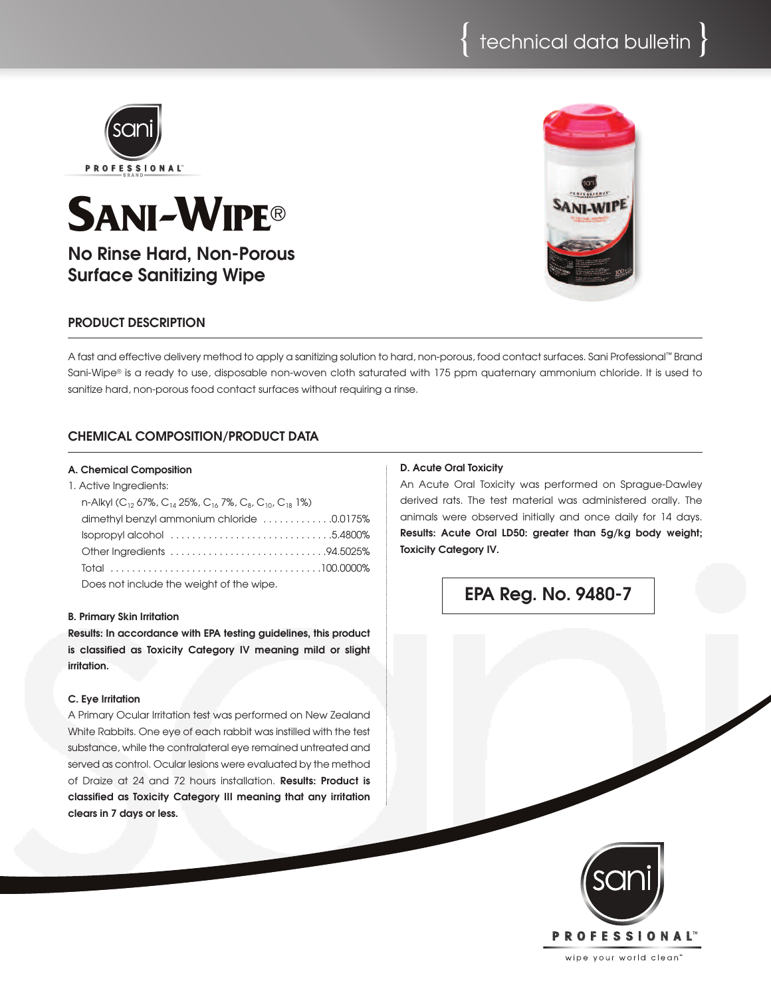

# **SANI-WIPE®**

**No Rinse Hard, Non-Porous Surface Sanitizing Wipe**

## **PRODUCT DESCRIPTION**

A fast and effective delivery method to apply a sanitizina solution to hard, non-porous, food contact surfaces, Sani Professional™ Brand Sani-Wipe® is a ready to use, disposable non-woven cloth saturated with 175 ppm quaternary ammonium chloride. It is used to sanitize hard, non-porous food contact surfaces without requiring a rinse.

# **CHEMICAL COMPOSITION/PRODUCT DATA**

#### **A. Chemical Composition**

| 1. Active Ingredients:                                                                                                        |  |
|-------------------------------------------------------------------------------------------------------------------------------|--|
| n-Alkyl (C <sub>12</sub> 67%, C <sub>14</sub> 25%, C <sub>16</sub> 7%, C <sub>8</sub> , C <sub>10</sub> , C <sub>18</sub> 1%) |  |
| dimethyl benzyl ammonium chloride 0.0175%                                                                                     |  |
|                                                                                                                               |  |
|                                                                                                                               |  |
|                                                                                                                               |  |
| Does not include the weight of the wine                                                                                       |  |

Does not include the weight of the wipe.

#### **B. Primary Skin Irritation**

**Results: In accordance with EPA testing guidelines, this product is classified as Toxicity Category IV meaning mild or slight irritation.**

#### **C. Eye Irritation**

A Primary Ocular Irritation test was performed on New Zealand White Rabbits. One eye of each rabbit was instilled with the test substance, while the contralateral eye remained untreated and served as control. Ocular lesions were evaluated by the method of Draize at 24 and 72 hours installation. **Results: Product is classified as Toxicity Category III meaning that any irritation clears in 7 days or less.**

#### **D. Acute Oral Toxicity**

An Acute Oral Toxicity was performed on Sprague-Dawley derived rats. The test material was administered orally. The animals were observed initially and once daily for 14 days. **Results: Acute Oral LD50: greater than 5g/kg body weight; Toxicity Category IV.**

**EPA Reg. No. 9480-7**



wipe your world clean'